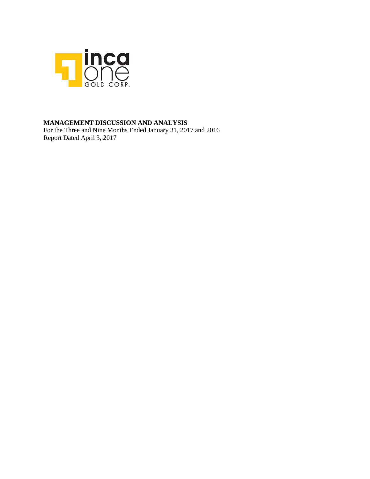

### **MANAGEMENT DISCUSSION AND ANALYSIS**

For the Three and Nine Months Ended January 31, 2017 and 2016 Report Dated April 3, 2017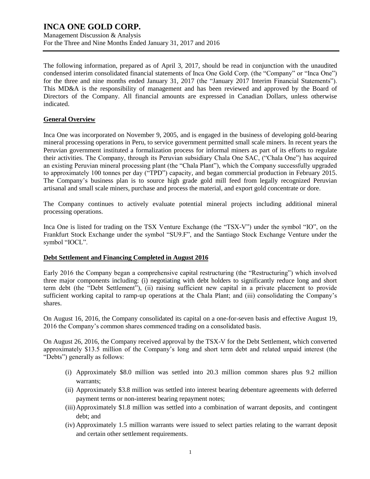Management Discussion & Analysis For the Three and Nine Months Ended January 31, 2017 and 2016

The following information, prepared as of April 3, 2017, should be read in conjunction with the unaudited condensed interim consolidated financial statements of Inca One Gold Corp. (the "Company" or "Inca One") for the three and nine months ended January 31, 2017 (the "January 2017 Interim Financial Statements"). This MD&A is the responsibility of management and has been reviewed and approved by the Board of Directors of the Company. All financial amounts are expressed in Canadian Dollars, unless otherwise indicated.

### **General Overview**

Inca One was incorporated on November 9, 2005, and is engaged in the business of developing gold-bearing mineral processing operations in Peru, to service government permitted small scale miners. In recent years the Peruvian government instituted a formalization process for informal miners as part of its efforts to regulate their activities. The Company, through its Peruvian subsidiary Chala One SAC, ("Chala One") has acquired an existing Peruvian mineral processing plant (the "Chala Plant"), which the Company successfully upgraded to approximately 100 tonnes per day ("TPD") capacity, and began commercial production in February 2015. The Company's business plan is to source high grade gold mill feed from legally recognized Peruvian artisanal and small scale miners, purchase and process the material, and export gold concentrate or dore.

The Company continues to actively evaluate potential mineral projects including additional mineral processing operations.

Inca One is listed for trading on the TSX Venture Exchange (the "TSX-V") under the symbol "IO", on the Frankfurt Stock Exchange under the symbol "SU9.F", and the Santiago Stock Exchange Venture under the symbol "IOCL".

### **Debt Settlement and Financing Completed in August 2016**

Early 2016 the Company began a comprehensive capital restructuring (the "Restructuring") which involved three major components including: (i) negotiating with debt holders to significantly reduce long and short term debt (the "Debt Settlement"), (ii) raising sufficient new capital in a private placement to provide sufficient working capital to ramp-up operations at the Chala Plant; and (iii) consolidating the Company's shares.

On August 16, 2016, the Company consolidated its capital on a one-for-seven basis and effective August 19, 2016 the Company's common shares commenced trading on a consolidated basis.

On August 26, 2016, the Company received approval by the TSX-V for the Debt Settlement, which converted approximately \$13.5 million of the Company's long and short term debt and related unpaid interest (the "Debts") generally as follows:

- (i) Approximately \$8.0 million was settled into 20.3 million common shares plus 9.2 million warrants;
- (ii) Approximately \$3.8 million was settled into interest bearing debenture agreements with deferred payment terms or non-interest bearing repayment notes;
- (iii)Approximately \$1.8 million was settled into a combination of warrant deposits, and contingent debt; and
- (iv) Approximately 1.5 million warrants were issued to select parties relating to the warrant deposit and certain other settlement requirements.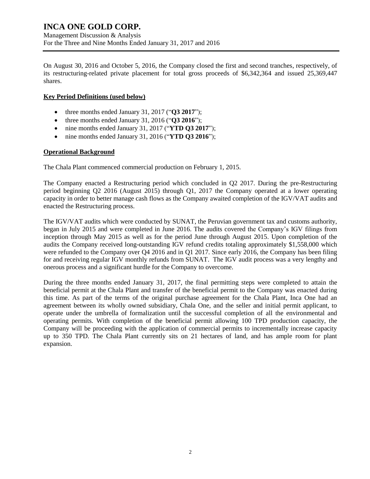On August 30, 2016 and October 5, 2016, the Company closed the first and second tranches, respectively, of its restructuring-related private placement for total gross proceeds of \$6,342,364 and issued 25,369,447 shares.

### **Key Period Definitions (used below)**

- three months ended January 31, 2017 ("**Q3 2017**");
- three months ended January 31, 2016 ("**Q3 2016**");
- nine months ended January 31, 2017 ("**YTD Q3 2017**");
- nine months ended January 31, 2016 ("**YTD Q3 2016**");

### **Operational Background**

The Chala Plant commenced commercial production on February 1, 2015.

The Company enacted a Restructuring period which concluded in Q2 2017. During the pre-Restructuring period beginning Q2 2016 (August 2015) through Q1, 2017 the Company operated at a lower operating capacity in order to better manage cash flows as the Company awaited completion of the IGV/VAT audits and enacted the Restructuring process.

The IGV/VAT audits which were conducted by SUNAT, the Peruvian government tax and customs authority, began in July 2015 and were completed in June 2016. The audits covered the Company's IGV filings from inception through May 2015 as well as for the period June through August 2015. Upon completion of the audits the Company received long-outstanding IGV refund credits totaling approximately \$1,558,000 which were refunded to the Company over Q4 2016 and in Q1 2017. Since early 2016, the Company has been filing for and receiving regular IGV monthly refunds from SUNAT. The IGV audit process was a very lengthy and onerous process and a significant hurdle for the Company to overcome.

During the three months ended January 31, 2017, the final permitting steps were completed to attain the beneficial permit at the Chala Plant and transfer of the beneficial permit to the Company was enacted during this time. As part of the terms of the original purchase agreement for the Chala Plant, Inca One had an agreement between its wholly owned subsidiary, Chala One, and the seller and initial permit applicant, to operate under the umbrella of formalization until the successful completion of all the environmental and operating permits. With completion of the beneficial permit allowing 100 TPD production capacity, the Company will be proceeding with the application of commercial permits to incrementally increase capacity up to 350 TPD. The Chala Plant currently sits on 21 hectares of land, and has ample room for plant expansion.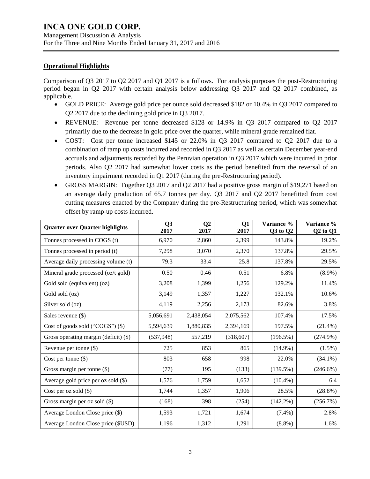### **Operational Highlights**

Comparison of Q3 2017 to Q2 2017 and Q1 2017 is a follows. For analysis purposes the post-Restructuring period began in Q2 2017 with certain analysis below addressing Q3 2017 and Q2 2017 combined, as applicable.

- GOLD PRICE: Average gold price per ounce sold decreased \$182 or 10.4% in Q3 2017 compared to Q2 2017 due to the declining gold price in Q3 2017.
- REVENUE: Revenue per tonne decreased \$128 or 14.9% in Q3 2017 compared to Q2 2017 primarily due to the decrease in gold price over the quarter, while mineral grade remained flat.
- COST: Cost per tonne increased \$145 or 22.0% in Q3 2017 compared to Q2 2017 due to a combination of ramp up costs incurred and recorded in Q3 2017 as well as certain December year-end accruals and adjsutments recorded by the Peruvian operation in Q3 2017 which were incurred in prior periods. Also Q2 2017 had somewhat lower costs as the period benefited from the reversal of an inventory impairment recorded in Q1 2017 (during the pre-Restructuring period).
- GROSS MARGIN: Together Q3 2017 and Q2 2017 had a positive gross margin of \$19,271 based on an average daily production of 65.7 tonnes per day. Q3 2017 and Q2 2017 benefitted from cost cutting measures enacted by the Company during the pre-Restructuring period, which was somewhat offset by ramp-up costs incurred.

| <b>Quarter over Quarter highlights</b>  | Q <sub>3</sub><br>2017 | $\overline{O2}$<br>2017 | <b>Q1</b><br>2017 | Variance %<br>Q3 to Q2 | Variance %<br>$Q2$ to $Q1$ |
|-----------------------------------------|------------------------|-------------------------|-------------------|------------------------|----------------------------|
| Tonnes processed in COGS (t)            | 6,970                  | 2,860                   | 2,399             | 143.8%                 | 19.2%                      |
| Tonnes processed in period (t)          | 7,298                  | 3,070                   | 2,370             | 137.8%                 | 29.5%                      |
| Average daily processing volume (t)     | 79.3                   | 33.4                    | 25.8              | 137.8%                 | 29.5%                      |
| Mineral grade processed (oz/t gold)     | 0.50                   | 0.46                    | 0.51              | 6.8%                   | $(8.9\%)$                  |
| Gold sold (equivalent) (oz)             | 3,208                  | 1,399                   | 1,256             | 129.2%                 | 11.4%                      |
| Gold sold (oz)                          | 3,149                  | 1,357                   | 1,227             | 132.1%                 | 10.6%                      |
| Silver sold (oz)                        | 4,119                  | 2,256                   | 2,173             | 82.6%                  | 3.8%                       |
| Sales revenue $(\$)$                    | 5,056,691              | 2,438,054               | 2,075,562         | 107.4%                 | 17.5%                      |
| Cost of goods sold ("COGS") (\$)        | 5,594,639              | 1,880,835               | 2,394,169         | 197.5%                 | $(21.4\%)$                 |
| Gross operating margin (deficit) $(\$)$ | (537, 948)             | 557,219                 | (318,607)         | (196.5%)               | $(274.9\%)$                |
| Revenue per tonne $(\$)$                | 725                    | 853                     | 865               | $(14.9\%)$             | $(1.5\%)$                  |
| Cost per tonne $(\$)$                   | 803                    | 658                     | 998               | 22.0%                  | $(34.1\%)$                 |
| Gross margin per tonne (\$)             | (77)                   | 195                     | (133)             | (139.5%)               | $(246.6\%)$                |
| Average gold price per oz sold $(\$)$   | 1,576                  | 1,759                   | 1,652             | $(10.4\%)$             | 6.4                        |
| Cost per oz sold $(\$)$                 | 1,744                  | 1,357                   | 1,906             | 28.5%                  | $(28.8\%)$                 |
| Gross margin per oz sold $(\$)$         | (168)                  | 398                     | (254)             | $(142.2\%)$            | (256.7%)                   |
| Average London Close price (\$)         | 1,593                  | 1,721                   | 1,674             | $(7.4\%)$              | 2.8%                       |
| Average London Close price (\$USD)      | 1,196                  | 1,312                   | 1,291             | $(8.8\%)$              | 1.6%                       |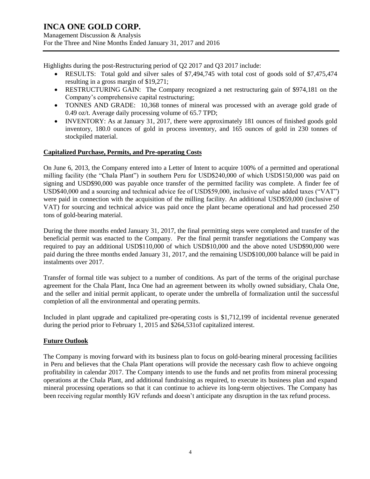Management Discussion & Analysis For the Three and Nine Months Ended January 31, 2017 and 2016

Highlights during the post-Restructuring period of Q2 2017 and Q3 2017 include:

- RESULTS: Total gold and silver sales of \$7,494,745 with total cost of goods sold of \$7,475,474 resulting in a gross margin of \$19,271;
- RESTRUCTURING GAIN: The Company recognized a net restructuring gain of \$974,181 on the Company's comprehensive capital restructuring;
- TONNES AND GRADE: 10,368 tonnes of mineral was processed with an average gold grade of 0.49 oz/t. Average daily processing volume of 65.7 TPD;
- INVENTORY: As at January 31, 2017, there were approximately 181 ounces of finished goods gold inventory, 180.0 ounces of gold in process inventory, and 165 ounces of gold in 230 tonnes of stockpiled material.

### **Capitalized Purchase, Permits, and Pre-operating Costs**

On June 6, 2013, the Company entered into a Letter of Intent to acquire 100% of a permitted and operational milling facility (the "Chala Plant") in southern Peru for USD\$240,000 of which USD\$150,000 was paid on signing and USD\$90,000 was payable once transfer of the permitted facility was complete. A finder fee of USD\$40,000 and a sourcing and technical advice fee of USD\$59,000, inclusive of value added taxes ("VAT") were paid in connection with the acquisition of the milling facility. An additional USD\$59,000 (inclusive of VAT) for sourcing and technical advice was paid once the plant became operational and had processed 250 tons of gold-bearing material.

During the three months ended January 31, 2017, the final permitting steps were completed and transfer of the beneficial permit was enacted to the Company. Per the final permit transfer negotiations the Company was required to pay an additional USD\$110,000 of which USD\$10,000 and the above noted USD\$90,000 were paid during the three months ended January 31, 2017, and the remaining USD\$100,000 balance will be paid in instalments over 2017.

Transfer of formal title was subject to a number of conditions. As part of the terms of the original purchase agreement for the Chala Plant, Inca One had an agreement between its wholly owned subsidiary, Chala One, and the seller and initial permit applicant, to operate under the umbrella of formalization until the successful completion of all the environmental and operating permits.

Included in plant upgrade and capitalized pre-operating costs is \$1,712,199 of incidental revenue generated during the period prior to February 1, 2015 and \$264,531of capitalized interest.

### **Future Outlook**

The Company is moving forward with its business plan to focus on gold-bearing mineral processing facilities in Peru and believes that the Chala Plant operations will provide the necessary cash flow to achieve ongoing profitability in calendar 2017. The Company intends to use the funds and net profits from mineral processing operations at the Chala Plant, and additional fundraising as required, to execute its business plan and expand mineral processing operations so that it can continue to achieve its long-term objectives. The Company has been receiving regular monthly IGV refunds and doesn't anticipate any disruption in the tax refund process.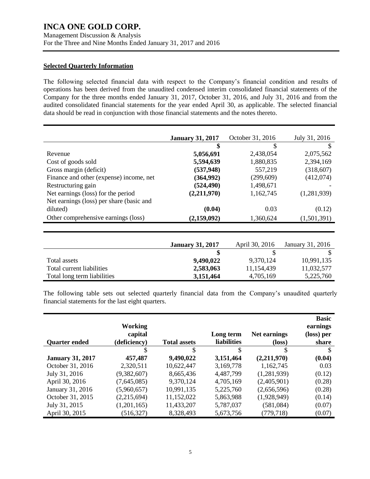#### **Selected Quarterly Information**

The following selected financial data with respect to the Company's financial condition and results of operations has been derived from the unaudited condensed interim consolidated financial statements of the Company for the three months ended January 31, 2017, October 31, 2016, and July 31, 2016 and from the audited consolidated financial statements for the year ended April 30, as applicable. The selected financial data should be read in conjunction with those financial statements and the notes thereto.

|                                          | <b>January 31, 2017</b> | October 31, 2016 | July 31, 2016 |
|------------------------------------------|-------------------------|------------------|---------------|
|                                          | \$                      | S                | S             |
| Revenue                                  | 5,056,691               | 2,438,054        | 2,075,562     |
| Cost of goods sold                       | 5,594,639               | 1,880,835        | 2,394,169     |
| Gross margin (deficit)                   | (537, 948)              | 557,219          | (318,607)     |
| Finance and other (expense) income, net  | (364, 992)              | (299, 609)       | (412,074)     |
| Restructuring gain                       | (524, 490)              | 1,498,671        |               |
| Net earnings (loss) for the period       | (2,211,970)             | 1,162,745        | (1,281,939)   |
| Net earnings (loss) per share (basic and |                         |                  |               |
| diluted)                                 | (0.04)                  | 0.03             | (0.12)        |
| Other comprehensive earnings (loss)      | (2,159,092)             | 1,360,624        | (1,501,391)   |

|                             | <b>January 31, 2017</b> | April 30, 2016 | January 31, 2016 |
|-----------------------------|-------------------------|----------------|------------------|
|                             |                         |                |                  |
| Total assets                | 9,490,022               | 9.370.124      | 10,991,135       |
| Total current liabilities   | 2,583,063               | 11,154,439     | 11,032,577       |
| Total long term liabilities | 3,151,464               | 4,705,169      | 5,225,760        |

The following table sets out selected quarterly financial data from the Company's unaudited quarterly financial statements for the last eight quarters.

|                         | <b>Working</b> |                     |                    |                 | <b>Basic</b><br>earnings |
|-------------------------|----------------|---------------------|--------------------|-----------------|--------------------------|
|                         | capital        |                     | Long term          | Net earnings    | (loss) per               |
| <b>Quarter ended</b>    | (deficiency)   | <b>Total assets</b> | <b>liabilities</b> | $(\text{loss})$ | share                    |
|                         | S              | \$                  | S                  | \$              | S                        |
| <b>January 31, 2017</b> | 457,487        | 9,490,022           | 3,151,464          | (2,211,970)     | (0.04)                   |
| October 31, 2016        | 2,320,511      | 10,622,447          | 3,169,778          | 1,162,745       | 0.03                     |
| July 31, 2016           | (9,382,607)    | 8,665,436           | 4,487,799          | (1,281,939)     | (0.12)                   |
| April 30, 2016          | (7,645,085)    | 9,370,124           | 4,705,169          | (2,405,901)     | (0.28)                   |
| January 31, 2016        | (5,960,657)    | 10,991,135          | 5,225,760          | (2,656,596)     | (0.28)                   |
| October 31, 2015        | (2,215,694)    | 11,152,022          | 5,863,988          | (1,928,949)     | (0.14)                   |
| July 31, 2015           | (1,201,165)    | 11,433,207          | 5,787,037          | (581,084)       | (0.07)                   |
| April 30, 2015          | (516, 327)     | 8,328,493           | 5,673,756          | (779, 718)      | (0.07)                   |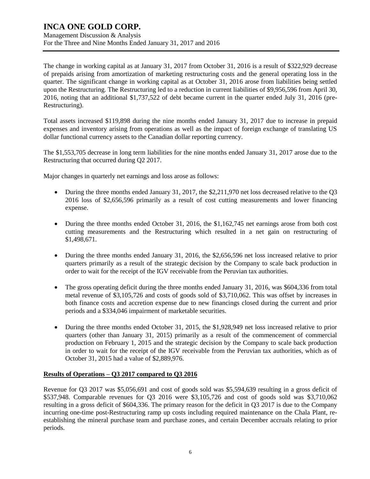Management Discussion & Analysis For the Three and Nine Months Ended January 31, 2017 and 2016

The change in working capital as at January 31, 2017 from October 31, 2016 is a result of \$322,929 decrease of prepaids arising from amortization of marketing restructuring costs and the general operating loss in the quarter. The significant change in working capital as at October 31, 2016 arose from liabilities being settled upon the Restructuring. The Restructuring led to a reduction in current liabilities of \$9,956,596 from April 30, 2016, noting that an additional \$1,737,522 of debt became current in the quarter ended July 31, 2016 (pre-Restructuring).

Total assets increased \$119,898 during the nine months ended January 31, 2017 due to increase in prepaid expenses and inventory arising from operations as well as the impact of foreign exchange of translating US dollar functional currency assets to the Canadian dollar reporting currency.

The \$1,553,705 decrease in long term liabilities for the nine months ended January 31, 2017 arose due to the Restructuring that occurred during Q2 2017.

Major changes in quarterly net earnings and loss arose as follows:

- During the three months ended January 31, 2017, the \$2,211,970 net loss decreased relative to the Q3 2016 loss of \$2,656,596 primarily as a result of cost cutting measurements and lower financing expense.
- During the three months ended October 31, 2016, the \$1,162,745 net earnings arose from both cost cutting measurements and the Restructuring which resulted in a net gain on restructuring of \$1,498,671.
- During the three months ended January 31, 2016, the \$2,656,596 net loss increased relative to prior quarters primarily as a result of the strategic decision by the Company to scale back production in order to wait for the receipt of the IGV receivable from the Peruvian tax authorities.
- The gross operating deficit during the three months ended January 31, 2016, was \$604,336 from total metal revenue of \$3,105,726 and costs of goods sold of \$3,710,062. This was offset by increases in both finance costs and accretion expense due to new financings closed during the current and prior periods and a \$334,046 impairment of marketable securities.
- During the three months ended October 31, 2015, the \$1,928,949 net loss increased relative to prior quarters (other than January 31, 2015) primarily as a result of the commencement of commercial production on February 1, 2015 and the strategic decision by the Company to scale back production in order to wait for the receipt of the IGV receivable from the Peruvian tax authorities, which as of October 31, 2015 had a value of \$2,889,976.

### **Results of Operations – Q3 2017 compared to Q3 2016**

Revenue for Q3 2017 was \$5,056,691 and cost of goods sold was \$5,594,639 resulting in a gross deficit of \$537,948. Comparable revenues for Q3 2016 were \$3,105,726 and cost of goods sold was \$3,710,062 resulting in a gross deficit of \$604,336. The primary reason for the deficit in Q3 2017 is due to the Company incurring one-time post-Restructuring ramp up costs including required maintenance on the Chala Plant, reestablishing the mineral purchase team and purchase zones, and certain December accruals relating to prior periods.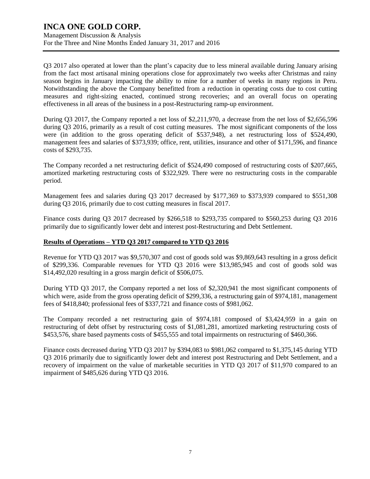### **INCA ONE GOLD CORP.** Management Discussion & Analysis For the Three and Nine Months Ended January 31, 2017 and 2016

Q3 2017 also operated at lower than the plant's capacity due to less mineral available during January arising from the fact most artisanal mining operations close for approximately two weeks after Christmas and rainy season begins in January impacting the ability to mine for a number of weeks in many regions in Peru. Notwithstanding the above the Company benefitted from a reduction in operating costs due to cost cutting measures and right-sizing enacted, continued strong recoveries; and an overall focus on operating effectiveness in all areas of the business in a post-Restructuring ramp-up environment.

During Q3 2017, the Company reported a net loss of \$2,211,970, a decrease from the net loss of \$2,656,596 during Q3 2016, primarily as a result of cost cutting measures. The most significant components of the loss were (in addition to the gross operating deficit of \$537,948), a net restructuring loss of \$524,490, management fees and salaries of \$373,939; office, rent, utilities, insurance and other of \$171,596, and finance costs of \$293,735.

The Company recorded a net restructuring deficit of \$524,490 composed of restructuring costs of \$207,665, amortized marketing restructuring costs of \$322,929. There were no restructuring costs in the comparable period.

Management fees and salaries during Q3 2017 decreased by \$177,369 to \$373,939 compared to \$551,308 during Q3 2016, primarily due to cost cutting measures in fiscal 2017.

Finance costs during Q3 2017 decreased by \$266,518 to \$293,735 compared to \$560,253 during Q3 2016 primarily due to significantly lower debt and interest post-Restructuring and Debt Settlement.

### **Results of Operations – YTD Q3 2017 compared to YTD Q3 2016**

Revenue for YTD Q3 2017 was \$9,570,307 and cost of goods sold was \$9,869,643 resulting in a gross deficit of \$299,336. Comparable revenues for YTD Q3 2016 were \$13,985,945 and cost of goods sold was \$14,492,020 resulting in a gross margin deficit of \$506,075.

During YTD Q3 2017, the Company reported a net loss of \$2,320,941 the most significant components of which were, aside from the gross operating deficit of \$299,336, a restructuring gain of \$974,181, management fees of \$418,840; professional fees of \$337,721 and finance costs of \$981,062.

The Company recorded a net restructuring gain of \$974,181 composed of \$3,424,959 in a gain on restructuring of debt offset by restructuring costs of \$1,081,281, amortized marketing restructuring costs of \$453,576, share based payments costs of \$455,555 and total impairments on restructuring of \$460,366.

Finance costs decreased during YTD Q3 2017 by \$394,083 to \$981,062 compared to \$1,375,145 during YTD Q3 2016 primarily due to significantly lower debt and interest post Restructuring and Debt Settlement, and a recovery of impairment on the value of marketable securities in YTD Q3 2017 of \$11,970 compared to an impairment of \$485,626 during YTD Q3 2016.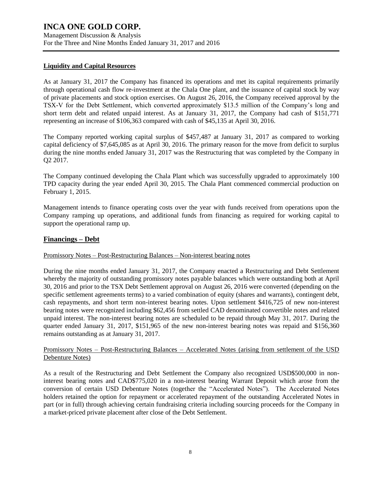### **Liquidity and Capital Resources**

As at January 31, 2017 the Company has financed its operations and met its capital requirements primarily through operational cash flow re-investment at the Chala One plant, and the issuance of capital stock by way of private placements and stock option exercises. On August 26, 2016, the Company received approval by the TSX-V for the Debt Settlement, which converted approximately \$13.5 million of the Company's long and short term debt and related unpaid interest. As at January 31, 2017, the Company had cash of \$151,771 representing an increase of \$106,363 compared with cash of \$45,135 at April 30, 2016.

The Company reported working capital surplus of \$457,487 at January 31, 2017 as compared to working capital deficiency of \$7,645,085 as at April 30, 2016. The primary reason for the move from deficit to surplus during the nine months ended January 31, 2017 was the Restructuring that was completed by the Company in Q2 2017.

The Company continued developing the Chala Plant which was successfully upgraded to approximately 100 TPD capacity during the year ended April 30, 2015. The Chala Plant commenced commercial production on February 1, 2015.

Management intends to finance operating costs over the year with funds received from operations upon the Company ramping up operations, and additional funds from financing as required for working capital to support the operational ramp up.

### **Financings – Debt**

### Promissory Notes – Post-Restructuring Balances – Non-interest bearing notes

During the nine months ended January 31, 2017, the Company enacted a Restructuring and Debt Settlement whereby the majority of outstanding promissory notes payable balances which were outstanding both at April 30, 2016 and prior to the TSX Debt Settlement approval on August 26, 2016 were converted (depending on the specific settlement agreements terms) to a varied combination of equity (shares and warrants), contingent debt, cash repayments, and short term non-interest bearing notes. Upon settlement \$416,725 of new non-interest bearing notes were recognized including \$62,456 from settled CAD denominated convertible notes and related unpaid interest. The non-interest bearing notes are scheduled to be repaid through May 31, 2017. During the quarter ended January 31, 2017, \$151,965 of the new non-interest bearing notes was repaid and \$156,360 remains outstanding as at January 31, 2017.

### Promissory Notes – Post-Restructuring Balances – Accelerated Notes (arising from settlement of the USD Debenture Notes)

As a result of the Restructuring and Debt Settlement the Company also recognized USD\$500,000 in noninterest bearing notes and CAD\$775,020 in a non-interest bearing Warrant Deposit which arose from the conversion of certain USD Debenture Notes (together the "Accelerated Notes"). The Accelerated Notes holders retained the option for repayment or accelerated repayment of the outstanding Accelerated Notes in part (or in full) through achieving certain fundraising criteria including sourcing proceeds for the Company in a market-priced private placement after close of the Debt Settlement.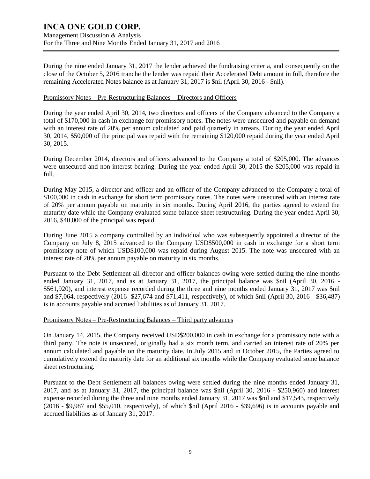During the nine ended January 31, 2017 the lender achieved the fundraising criteria, and consequently on the close of the October 5, 2016 tranche the lender was repaid their Accelerated Debt amount in full, therefore the remaining Accelerated Notes balance as at January 31, 2017 is \$nil (April 30, 2016 - \$nil).

### Promissory Notes – Pre-Restructuring Balances – Directors and Officers

During the year ended April 30, 2014, two directors and officers of the Company advanced to the Company a total of \$170,000 in cash in exchange for promissory notes. The notes were unsecured and payable on demand with an interest rate of 20% per annum calculated and paid quarterly in arrears. During the year ended April 30, 2014, \$50,000 of the principal was repaid with the remaining \$120,000 repaid during the year ended April 30, 2015.

During December 2014, directors and officers advanced to the Company a total of \$205,000. The advances were unsecured and non-interest bearing. During the year ended April 30, 2015 the \$205,000 was repaid in full.

During May 2015, a director and officer and an officer of the Company advanced to the Company a total of \$100,000 in cash in exchange for short term promissory notes. The notes were unsecured with an interest rate of 20% per annum payable on maturity in six months. During April 2016, the parties agreed to extend the maturity date while the Company evaluated some balance sheet restructuring. During the year ended April 30, 2016, \$40,000 of the principal was repaid.

During June 2015 a company controlled by an individual who was subsequently appointed a director of the Company on July 8, 2015 advanced to the Company USD\$500,000 in cash in exchange for a short term promissory note of which USD\$100,000 was repaid during August 2015. The note was unsecured with an interest rate of 20% per annum payable on maturity in six months.

Pursuant to the Debt Settlement all director and officer balances owing were settled during the nine months ended January 31, 2017, and as at January 31, 2017, the principal balance was \$nil (April 30, 2016 - \$561,920), and interest expense recorded during the three and nine months ended January 31, 2017 was \$nil and \$7,064, respectively (2016 -\$27,674 and \$71,411, respectively), of which \$nil (April 30, 2016 - \$36,487) is in accounts payable and accrued liabilities as of January 31, 2017.

#### Promissory Notes – Pre-Restructuring Balances – Third party advances

On January 14, 2015, the Company received USD\$200,000 in cash in exchange for a promissory note with a third party. The note is unsecured, originally had a six month term, and carried an interest rate of 20% per annum calculated and payable on the maturity date. In July 2015 and in October 2015, the Parties agreed to cumulatively extend the maturity date for an additional six months while the Company evaluated some balance sheet restructuring.

Pursuant to the Debt Settlement all balances owing were settled during the nine months ended January 31, 2017, and as at January 31, 2017, the principal balance was \$nil (April 30, 2016 - \$250,960) and interest expense recorded during the three and nine months ended January 31, 2017 was \$nil and \$17,543, respectively (2016 - \$9,987 and \$55,010, respectively), of which \$nil (April 2016 - \$39,696) is in accounts payable and accrued liabilities as of January 31, 2017.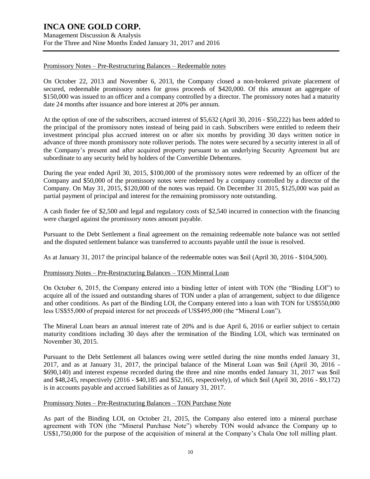Management Discussion & Analysis For the Three and Nine Months Ended January 31, 2017 and 2016

#### Promissory Notes – Pre-Restructuring Balances – Redeemable notes

On October 22, 2013 and November 6, 2013, the Company closed a non-brokered private placement of secured, redeemable promissory notes for gross proceeds of \$420,000. Of this amount an aggregate of \$150,000 was issued to an officer and a company controlled by a director. The promissory notes had a maturity date 24 months after issuance and bore interest at 20% per annum.

At the option of one of the subscribers, accrued interest of \$5,632 (April 30, 2016 - \$50,222) has been added to the principal of the promissory notes instead of being paid in cash. Subscribers were entitled to redeem their investment principal plus accrued interest on or after six months by providing 30 days written notice in advance of three month promissory note rollover periods. The notes were secured by a security interest in all of the Company's present and after acquired property pursuant to an underlying Security Agreement but are subordinate to any security held by holders of the Convertible Debentures.

During the year ended April 30, 2015, \$100,000 of the promissory notes were redeemed by an officer of the Company and \$50,000 of the promissory notes were redeemed by a company controlled by a director of the Company. On May 31, 2015, \$120,000 of the notes was repaid. On December 31 2015, \$125,000 was paid as partial payment of principal and interest for the remaining promissory note outstanding.

A cash finder fee of \$2,500 and legal and regulatory costs of \$2,540 incurred in connection with the financing were charged against the promissory notes amount payable.

Pursuant to the Debt Settlement a final agreement on the remaining redeemable note balance was not settled and the disputed settlement balance was transferred to accounts payable until the issue is resolved.

As at January 31, 2017 the principal balance of the redeemable notes was \$nil (April 30, 2016 - \$104,500).

### Promissory Notes – Pre-Restructuring Balances – TON Mineral Loan

On October 6, 2015, the Company entered into a binding letter of intent with TON (the "Binding LOI") to acquire all of the issued and outstanding shares of TON under a plan of arrangement, subject to due diligence and other conditions. As part of the Binding LOI, the Company entered into a loan with TON for US\$550,000 less US\$55,000 of prepaid interest for net proceeds of US\$495,000 (the "Mineral Loan").

The Mineral Loan bears an annual interest rate of 20% and is due April 6, 2016 or earlier subject to certain maturity conditions including 30 days after the termination of the Binding LOI, which was terminated on November 30, 2015.

Pursuant to the Debt Settlement all balances owing were settled during the nine months ended January 31, 2017, and as at January 31, 2017, the principal balance of the Mineral Loan was \$nil (April 30, 2016 - \$690,140) and interest expense recorded during the three and nine months ended January 31, 2017 was \$nil and \$48,245, respectively (2016 - \$40,185 and \$52,165, respectively), of which \$nil (April 30, 2016 - \$9,172) is in accounts payable and accrued liabilities as of January 31, 2017.

#### Promissory Notes – Pre-Restructuring Balances – TON Purchase Note

As part of the Binding LOI, on October 21, 2015, the Company also entered into a mineral purchase agreement with TON (the "Mineral Purchase Note") whereby TON would advance the Company up to US\$1,750,000 for the purpose of the acquisition of mineral at the Company's Chala One toll milling plant.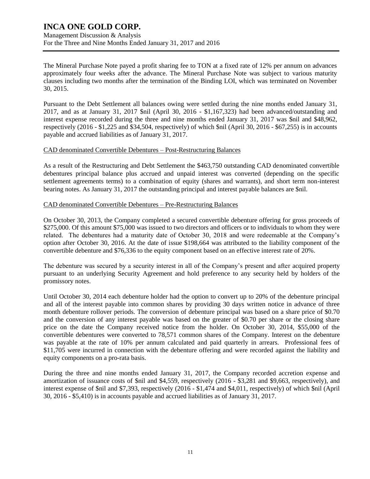Management Discussion & Analysis For the Three and Nine Months Ended January 31, 2017 and 2016

The Mineral Purchase Note payed a profit sharing fee to TON at a fixed rate of 12% per annum on advances approximately four weeks after the advance. The Mineral Purchase Note was subject to various maturity clauses including two months after the termination of the Binding LOI, which was terminated on November 30, 2015.

Pursuant to the Debt Settlement all balances owing were settled during the nine months ended January 31, 2017, and as at January 31, 2017 \$nil (April 30, 2016 - \$1,167,323) had been advanced/outstanding and interest expense recorded during the three and nine months ended January 31, 2017 was \$nil and \$48,962, respectively (2016 - \$1,225 and \$34,504, respectively) of which \$nil (April 30, 2016 - \$67,255) is in accounts payable and accrued liabilities as of January 31, 2017.

### CAD denominated Convertible Debentures – Post-Restructuring Balances

As a result of the Restructuring and Debt Settlement the \$463,750 outstanding CAD denominated convertible debentures principal balance plus accrued and unpaid interest was converted (depending on the specific settlement agreements terms) to a combination of equity (shares and warrants), and short term non-interest bearing notes. As January 31, 2017 the outstanding principal and interest payable balances are \$nil.

#### CAD denominated Convertible Debentures – Pre-Restructuring Balances

On October 30, 2013, the Company completed a secured convertible debenture offering for gross proceeds of \$275,000. Of this amount \$75,000 was issued to two directors and officers or to individuals to whom they were related. The debentures had a maturity date of October 30, 2018 and were redeemable at the Company's option after October 30, 2016. At the date of issue \$198,664 was attributed to the liability component of the convertible debenture and \$76,336 to the equity component based on an effective interest rate of 20%.

The debenture was secured by a security interest in all of the Company's present and after acquired property pursuant to an underlying Security Agreement and hold preference to any security held by holders of the promissory notes.

Until October 30, 2014 each debenture holder had the option to convert up to 20% of the debenture principal and all of the interest payable into common shares by providing 30 days written notice in advance of three month debenture rollover periods. The conversion of debenture principal was based on a share price of \$0.70 and the conversion of any interest payable was based on the greater of \$0.70 per share or the closing share price on the date the Company received notice from the holder. On October 30, 2014, \$55,000 of the convertible debentures were converted to 78,571 common shares of the Company. Interest on the debenture was payable at the rate of 10% per annum calculated and paid quarterly in arrears. Professional fees of \$11,705 were incurred in connection with the debenture offering and were recorded against the liability and equity components on a pro-rata basis.

During the three and nine months ended January 31, 2017, the Company recorded accretion expense and amortization of issuance costs of \$nil and \$4,559, respectively (2016 - \$3,281 and \$9,663, respectively), and interest expense of \$nil and \$7,393, respectively (2016 - \$1,474 and \$4,011, respectively) of which \$nil (April 30, 2016 - \$5,410) is in accounts payable and accrued liabilities as of January 31, 2017.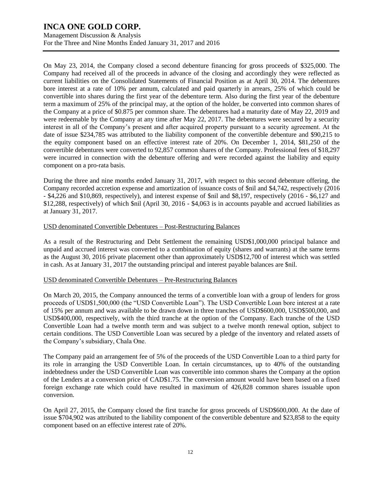Management Discussion & Analysis For the Three and Nine Months Ended January 31, 2017 and 2016

On May 23, 2014, the Company closed a second debenture financing for gross proceeds of \$325,000. The Company had received all of the proceeds in advance of the closing and accordingly they were reflected as current liabilities on the Consolidated Statements of Financial Position as at April 30, 2014. The debentures bore interest at a rate of 10% per annum, calculated and paid quarterly in arrears, 25% of which could be convertible into shares during the first year of the debenture term. Also during the first year of the debenture term a maximum of 25% of the principal may, at the option of the holder, be converted into common shares of the Company at a price of \$0.875 per common share. The debentures had a maturity date of May 22, 2019 and were redeemable by the Company at any time after May 22, 2017. The debentures were secured by a security interest in all of the Company's present and after acquired property pursuant to a security agreement. At the date of issue \$234,785 was attributed to the liability component of the convertible debenture and \$90,215 to the equity component based on an effective interest rate of 20%. On December 1, 2014, \$81,250 of the convertible debentures were converted to 92,857 common shares of the Company. Professional fees of \$18,297 were incurred in connection with the debenture offering and were recorded against the liability and equity component on a pro-rata basis.

During the three and nine months ended January 31, 2017, with respect to this second debenture offering, the Company recorded accretion expense and amortization of issuance costs of \$nil and \$4,742, respectively (2016 - \$4,226 and \$10,869, respectively), and interest expense of \$nil and \$8,197, respectively (2016 - \$6,127 and \$12,288, respectively) of which \$nil (April 30, 2016 - \$4,063 is in accounts payable and accrued liabilities as at January 31, 2017.

### USD denominated Convertible Debentures – Post-Restructuring Balances

As a result of the Restructuring and Debt Settlement the remaining USD\$1,000,000 principal balance and unpaid and accrued interest was converted to a combination of equity (shares and warrants) at the same terms as the August 30, 2016 private placement other than approximately USD\$12,700 of interest which was settled in cash. As at January 31, 2017 the outstanding principal and interest payable balances are \$nil.

### USD denominated Convertible Debentures – Pre-Restructuring Balances

On March 20, 2015, the Company announced the terms of a convertible loan with a group of lenders for gross proceeds of USD\$1,500,000 (the "USD Convertible Loan"). The USD Convertible Loan bore interest at a rate of 15% per annum and was available to be drawn down in three tranches of USD\$600,000, USD\$500,000, and USD\$400,000, respectively, with the third tranche at the option of the Company. Each tranche of the USD Convertible Loan had a twelve month term and was subject to a twelve month renewal option, subject to certain conditions. The USD Convertible Loan was secured by a pledge of the inventory and related assets of the Company's subsidiary, Chala One.

The Company paid an arrangement fee of 5% of the proceeds of the USD Convertible Loan to a third party for its role in arranging the USD Convertible Loan. In certain circumstances, up to 40% of the outstanding indebtedness under the USD Convertible Loan was convertible into common shares the Company at the option of the Lenders at a conversion price of CAD\$1.75. The conversion amount would have been based on a fixed foreign exchange rate which could have resulted in maximum of 426,828 common shares issuable upon conversion.

On April 27, 2015, the Company closed the first tranche for gross proceeds of USD\$600,000. At the date of issue \$704,902 was attributed to the liability component of the convertible debenture and \$23,858 to the equity component based on an effective interest rate of 20%.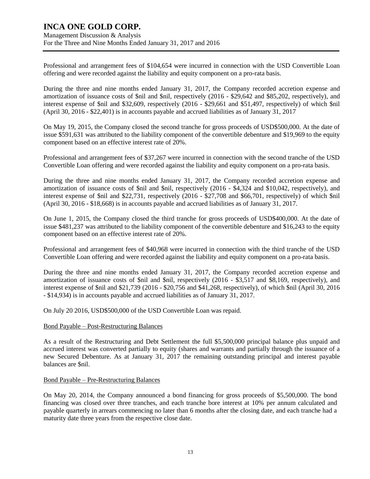### **INCA ONE GOLD CORP.** Management Discussion & Analysis For the Three and Nine Months Ended January 31, 2017 and 2016

Professional and arrangement fees of \$104,654 were incurred in connection with the USD Convertible Loan offering and were recorded against the liability and equity component on a pro-rata basis.

During the three and nine months ended January 31, 2017, the Company recorded accretion expense and amortization of issuance costs of \$nil and \$nil, respectively (2016 - \$29,642 and \$85,202, respectively), and interest expense of \$nil and \$32,609, respectively (2016 - \$29,661 and \$51,497, respectively) of which \$nil (April 30, 2016 - \$22,401) is in accounts payable and accrued liabilities as of January 31, 2017

On May 19, 2015, the Company closed the second tranche for gross proceeds of USD\$500,000. At the date of issue \$591,631 was attributed to the liability component of the convertible debenture and \$19,969 to the equity component based on an effective interest rate of 20%.

Professional and arrangement fees of \$37,267 were incurred in connection with the second tranche of the USD Convertible Loan offering and were recorded against the liability and equity component on a pro-rata basis.

During the three and nine months ended January 31, 2017, the Company recorded accretion expense and amortization of issuance costs of \$nil and \$nil, respectively (2016 - \$4,324 and \$10,042, respectively), and interest expense of \$nil and \$22,731, respectively (2016 - \$27,708 and \$66,701, respectively) of which \$nil (April 30, 2016 - \$18,668) is in accounts payable and accrued liabilities as of January 31, 2017.

On June 1, 2015, the Company closed the third tranche for gross proceeds of USD\$400,000. At the date of issue \$481,237 was attributed to the liability component of the convertible debenture and \$16,243 to the equity component based on an effective interest rate of 20%.

Professional and arrangement fees of \$40,968 were incurred in connection with the third tranche of the USD Convertible Loan offering and were recorded against the liability and equity component on a pro-rata basis.

During the three and nine months ended January 31, 2017, the Company recorded accretion expense and amortization of issuance costs of \$nil and \$nil, respectively (2016 - \$3,517 and \$8,169, respectively), and interest expense of \$nil and \$21,739 (2016 - \$20,756 and \$41,268, respectively), of which \$nil (April 30, 2016 - \$14,934) is in accounts payable and accrued liabilities as of January 31, 2017.

On July 20 2016, USD\$500,000 of the USD Convertible Loan was repaid.

### Bond Payable – Post-Restructuring Balances

As a result of the Restructuring and Debt Settlement the full \$5,500,000 principal balance plus unpaid and accrued interest was converted partially to equity (shares and warrants and partially through the issuance of a new Secured Debenture. As at January 31, 2017 the remaining outstanding principal and interest payable balances are \$nil.

#### Bond Payable – Pre-Restructuring Balances

On May 20, 2014, the Company announced a bond financing for gross proceeds of \$5,500,000. The bond financing was closed over three tranches, and each tranche bore interest at 10% per annum calculated and payable quarterly in arrears commencing no later than 6 months after the closing date, and each tranche had a maturity date three years from the respective close date.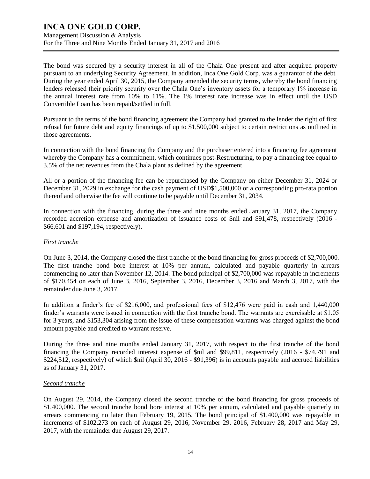The bond was secured by a security interest in all of the Chala One present and after acquired property pursuant to an underlying Security Agreement. In addition, Inca One Gold Corp. was a guarantor of the debt. During the year ended April 30, 2015, the Company amended the security terms, whereby the bond financing lenders released their priority security over the Chala One's inventory assets for a temporary 1% increase in the annual interest rate from 10% to 11%. The 1% interest rate increase was in effect until the USD Convertible Loan has been repaid/settled in full.

Pursuant to the terms of the bond financing agreement the Company had granted to the lender the right of first refusal for future debt and equity financings of up to \$1,500,000 subject to certain restrictions as outlined in those agreements.

In connection with the bond financing the Company and the purchaser entered into a financing fee agreement whereby the Company has a commitment, which continues post-Restructuring, to pay a financing fee equal to 3.5% of the net revenues from the Chala plant as defined by the agreement.

All or a portion of the financing fee can be repurchased by the Company on either December 31, 2024 or December 31, 2029 in exchange for the cash payment of USD\$1,500,000 or a corresponding pro-rata portion thereof and otherwise the fee will continue to be payable until December 31, 2034.

In connection with the financing, during the three and nine months ended January 31, 2017, the Company recorded accretion expense and amortization of issuance costs of \$nil and \$91,478, respectively (2016 - \$66,601 and \$197,194, respectively).

### *First tranche*

On June 3, 2014, the Company closed the first tranche of the bond financing for gross proceeds of \$2,700,000. The first tranche bond bore interest at 10% per annum, calculated and payable quarterly in arrears commencing no later than November 12, 2014. The bond principal of \$2,700,000 was repayable in increments of \$170,454 on each of June 3, 2016, September 3, 2016, December 3, 2016 and March 3, 2017, with the remainder due June 3, 2017.

In addition a finder's fee of \$216,000, and professional fees of \$12,476 were paid in cash and 1,440,000 finder's warrants were issued in connection with the first tranche bond. The warrants are exercisable at \$1.05 for 3 years, and \$153,304 arising from the issue of these compensation warrants was charged against the bond amount payable and credited to warrant reserve.

During the three and nine months ended January 31, 2017, with respect to the first tranche of the bond financing the Company recorded interest expense of \$nil and \$99,811, respectively (2016 - \$74,791 and \$224,512, respectively) of which \$nil (April 30, 2016 - \$91,396) is in accounts payable and accrued liabilities as of January 31, 2017.

### *Second tranche*

On August 29, 2014, the Company closed the second tranche of the bond financing for gross proceeds of \$1,400,000. The second tranche bond bore interest at 10% per annum, calculated and payable quarterly in arrears commencing no later than February 19, 2015. The bond principal of \$1,400,000 was repayable in increments of \$102,273 on each of August 29, 2016, November 29, 2016, February 28, 2017 and May 29, 2017, with the remainder due August 29, 2017.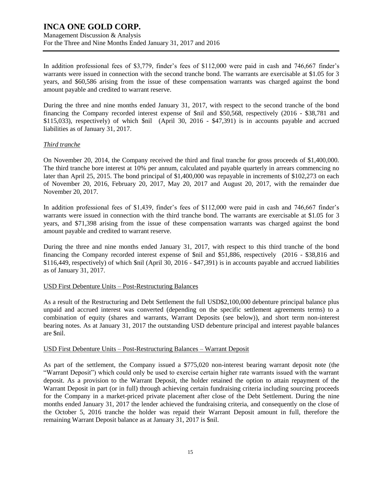Management Discussion & Analysis For the Three and Nine Months Ended January 31, 2017 and 2016

In addition professional fees of \$3,779, finder's fees of \$112,000 were paid in cash and 746,667 finder's warrants were issued in connection with the second tranche bond. The warrants are exercisable at \$1.05 for 3 years, and \$60,586 arising from the issue of these compensation warrants was charged against the bond amount payable and credited to warrant reserve.

During the three and nine months ended January 31, 2017, with respect to the second tranche of the bond financing the Company recorded interest expense of \$nil and \$50,568, respectively (2016 - \$38,781 and \$115,033), respectively) of which \$nil (April 30, 2016 - \$47,391) is in accounts payable and accrued liabilities as of January 31, 2017.

#### *Third tranche*

On November 20, 2014, the Company received the third and final tranche for gross proceeds of \$1,400,000. The third tranche bore interest at 10% per annum, calculated and payable quarterly in arrears commencing no later than April 25, 2015. The bond principal of \$1,400,000 was repayable in increments of \$102,273 on each of November 20, 2016, February 20, 2017, May 20, 2017 and August 20, 2017, with the remainder due November 20, 2017.

In addition professional fees of \$1,439, finder's fees of \$112,000 were paid in cash and 746,667 finder's warrants were issued in connection with the third tranche bond. The warrants are exercisable at \$1.05 for 3 years, and \$71,398 arising from the issue of these compensation warrants was charged against the bond amount payable and credited to warrant reserve.

During the three and nine months ended January 31, 2017, with respect to this third tranche of the bond financing the Company recorded interest expense of \$nil and \$51,886, respectively (2016 - \$38,816 and \$116,449, respectively) of which \$nil (April 30, 2016 - \$47,391) is in accounts payable and accrued liabilities as of January 31, 2017.

### USD First Debenture Units – Post-Restructuring Balances

As a result of the Restructuring and Debt Settlement the full USD\$2,100,000 debenture principal balance plus unpaid and accrued interest was converted (depending on the specific settlement agreements terms) to a combination of equity (shares and warrants, Warrant Deposits (see below)), and short term non-interest bearing notes. As at January 31, 2017 the outstanding USD debenture principal and interest payable balances are \$nil.

### USD First Debenture Units – Post-Restructuring Balances – Warrant Deposit

As part of the settlement, the Company issued a \$775,020 non-interest bearing warrant deposit note (the "Warrant Deposit") which could only be used to exercise certain higher rate warrants issued with the warrant deposit. As a provision to the Warrant Deposit, the holder retained the option to attain repayment of the Warrant Deposit in part (or in full) through achieving certain fundraising criteria including sourcing proceeds for the Company in a market-priced private placement after close of the Debt Settlement. During the nine months ended January 31, 2017 the lender achieved the fundraising criteria, and consequently on the close of the October 5, 2016 tranche the holder was repaid their Warrant Deposit amount in full, therefore the remaining Warrant Deposit balance as at January 31, 2017 is \$nil.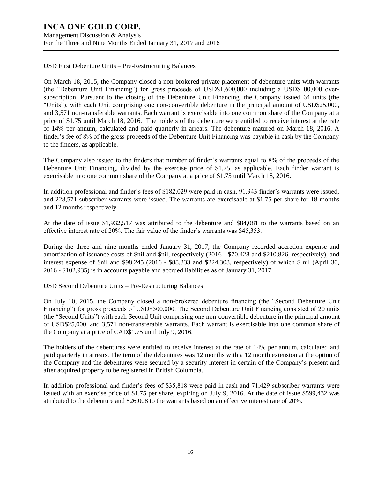Management Discussion & Analysis For the Three and Nine Months Ended January 31, 2017 and 2016

### USD First Debenture Units – Pre-Restructuring Balances

On March 18, 2015, the Company closed a non-brokered private placement of debenture units with warrants (the "Debenture Unit Financing") for gross proceeds of USD\$1,600,000 including a USD\$100,000 oversubscription. Pursuant to the closing of the Debenture Unit Financing, the Company issued 64 units (the "Units"), with each Unit comprising one non-convertible debenture in the principal amount of USD\$25,000, and 3,571 non-transferable warrants. Each warrant is exercisable into one common share of the Company at a price of \$1.75 until March 18, 2016. The holders of the debenture were entitled to receive interest at the rate of 14% per annum, calculated and paid quarterly in arrears. The debenture matured on March 18, 2016. A finder's fee of 8% of the gross proceeds of the Debenture Unit Financing was payable in cash by the Company to the finders, as applicable.

The Company also issued to the finders that number of finder's warrants equal to 8% of the proceeds of the Debenture Unit Financing, divided by the exercise price of \$1.75, as applicable. Each finder warrant is exercisable into one common share of the Company at a price of \$1.75 until March 18, 2016.

In addition professional and finder's fees of \$182,029 were paid in cash, 91,943 finder's warrants were issued, and 228,571 subscriber warrants were issued. The warrants are exercisable at \$1.75 per share for 18 months and 12 months respectively.

At the date of issue \$1,932,517 was attributed to the debenture and \$84,081 to the warrants based on an effective interest rate of 20%. The fair value of the finder's warrants was \$45,353.

During the three and nine months ended January 31, 2017, the Company recorded accretion expense and amortization of issuance costs of \$nil and \$nil, respectively (2016 - \$70,428 and \$210,826, respectively), and interest expense of \$nil and \$98,245 (2016 - \$88,333 and \$224,303, respectively) of which \$ nil (April 30, 2016 - \$102,935) is in accounts payable and accrued liabilities as of January 31, 2017.

#### USD Second Debenture Units – Pre-Restructuring Balances

On July 10, 2015, the Company closed a non-brokered debenture financing (the "Second Debenture Unit Financing") for gross proceeds of USD\$500,000. The Second Debenture Unit Financing consisted of 20 units (the "Second Units") with each Second Unit comprising one non-convertible debenture in the principal amount of USD\$25,000, and 3,571 non-transferable warrants. Each warrant is exercisable into one common share of the Company at a price of CAD\$1.75 until July 9, 2016.

The holders of the debentures were entitled to receive interest at the rate of 14% per annum, calculated and paid quarterly in arrears. The term of the debentures was 12 months with a 12 month extension at the option of the Company and the debentures were secured by a security interest in certain of the Company's present and after acquired property to be registered in British Columbia.

In addition professional and finder's fees of \$35,818 were paid in cash and 71,429 subscriber warrants were issued with an exercise price of \$1.75 per share, expiring on July 9, 2016. At the date of issue \$599,432 was attributed to the debenture and \$26,008 to the warrants based on an effective interest rate of 20%.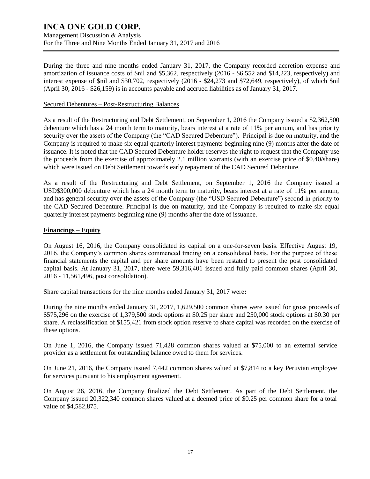Management Discussion & Analysis For the Three and Nine Months Ended January 31, 2017 and 2016

During the three and nine months ended January 31, 2017, the Company recorded accretion expense and amortization of issuance costs of \$nil and \$5,362, respectively (2016 - \$6,552 and \$14,223, respectively) and interest expense of \$nil and \$30,702, respectively (2016 - \$24,273 and \$72,649, respectively), of which \$nil (April 30, 2016 - \$26,159) is in accounts payable and accrued liabilities as of January 31, 2017.

#### Secured Debentures – Post-Restructuring Balances

As a result of the Restructuring and Debt Settlement, on September 1, 2016 the Company issued a \$2,362,500 debenture which has a 24 month term to maturity, bears interest at a rate of 11% per annum, and has priority security over the assets of the Company (the "CAD Secured Debenture"). Principal is due on maturity, and the Company is required to make six equal quarterly interest payments beginning nine (9) months after the date of issuance. It is noted that the CAD Secured Debenture holder reserves the right to request that the Company use the proceeds from the exercise of approximately 2.1 million warrants (with an exercise price of \$0.40/share) which were issued on Debt Settlement towards early repayment of the CAD Secured Debenture.

As a result of the Restructuring and Debt Settlement, on September 1, 2016 the Company issued a USD\$300,000 debenture which has a 24 month term to maturity, bears interest at a rate of 11% per annum, and has general security over the assets of the Company (the "USD Secured Debenture") second in priority to the CAD Secured Debenture. Principal is due on maturity, and the Company is required to make six equal quarterly interest payments beginning nine (9) months after the date of issuance.

### **Financings – Equity**

On August 16, 2016, the Company consolidated its capital on a one-for-seven basis. Effective August 19, 2016, the Company's common shares commenced trading on a consolidated basis. For the purpose of these financial statements the capital and per share amounts have been restated to present the post consolidated capital basis. At January 31, 2017, there were 59,316,401 issued and fully paid common shares (April 30, 2016 - 11,561,496, post consolidation).

Share capital transactions for the nine months ended January 31, 2017 were**:**

During the nine months ended January 31, 2017, 1,629,500 common shares were issued for gross proceeds of \$575,296 on the exercise of 1,379,500 stock options at \$0.25 per share and 250,000 stock options at \$0.30 per share. A reclassification of \$155,421 from stock option reserve to share capital was recorded on the exercise of these options.

On June 1, 2016, the Company issued 71,428 common shares valued at \$75,000 to an external service provider as a settlement for outstanding balance owed to them for services.

On June 21, 2016, the Company issued 7,442 common shares valued at \$7,814 to a key Peruvian employee for services pursuant to his employment agreement.

On August 26, 2016, the Company finalized the Debt Settlement. As part of the Debt Settlement, the Company issued 20,322,340 common shares valued at a deemed price of \$0.25 per common share for a total value of \$4,582,875.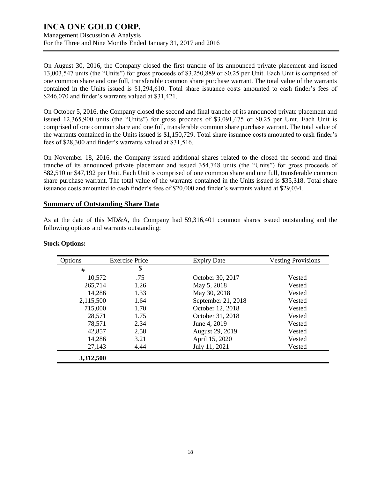Management Discussion & Analysis For the Three and Nine Months Ended January 31, 2017 and 2016

On August 30, 2016, the Company closed the first tranche of its announced private placement and issued 13,003,547 units (the "Units") for gross proceeds of \$3,250,889 or \$0.25 per Unit. Each Unit is comprised of one common share and one full, transferable common share purchase warrant. The total value of the warrants contained in the Units issued is \$1,294,610. Total share issuance costs amounted to cash finder's fees of \$246,070 and finder's warrants valued at \$31,421.

On October 5, 2016, the Company closed the second and final tranche of its announced private placement and issued 12,365,900 units (the "Units") for gross proceeds of \$3,091,475 or \$0.25 per Unit. Each Unit is comprised of one common share and one full, transferable common share purchase warrant. The total value of the warrants contained in the Units issued is \$1,150,729. Total share issuance costs amounted to cash finder's fees of \$28,300 and finder's warrants valued at \$31,516.

On November 18, 2016, the Company issued additional shares related to the closed the second and final tranche of its announced private placement and issued 354,748 units (the "Units") for gross proceeds of \$82,510 or \$47,192 per Unit. Each Unit is comprised of one common share and one full, transferable common share purchase warrant. The total value of the warrants contained in the Units issued is \$35,318. Total share issuance costs amounted to cash finder's fees of \$20,000 and finder's warrants valued at \$29,034.

### **Summary of Outstanding Share Data**

As at the date of this MD&A, the Company had 59,316,401 common shares issued outstanding and the following options and warrants outstanding:

| Options   | <b>Exercise Price</b> | <b>Expiry Date</b> | <b>Vesting Provisions</b> |
|-----------|-----------------------|--------------------|---------------------------|
| #         | \$                    |                    |                           |
| 10,572    | .75                   | October 30, 2017   | Vested                    |
| 265,714   | 1.26                  | May 5, 2018        | Vested                    |
| 14,286    | 1.33                  | May 30, 2018       | Vested                    |
| 2,115,500 | 1.64                  | September 21, 2018 | Vested                    |
| 715,000   | 1.70                  | October 12, 2018   | Vested                    |
| 28,571    | 1.75                  | October 31, 2018   | Vested                    |
| 78,571    | 2.34                  | June 4, 2019       | Vested                    |
| 42,857    | 2.58                  | August 29, 2019    | Vested                    |
| 14,286    | 3.21                  | April 15, 2020     | Vested                    |
| 27,143    | 4.44                  | July 11, 2021      | Vested                    |
| 3,312,500 |                       |                    |                           |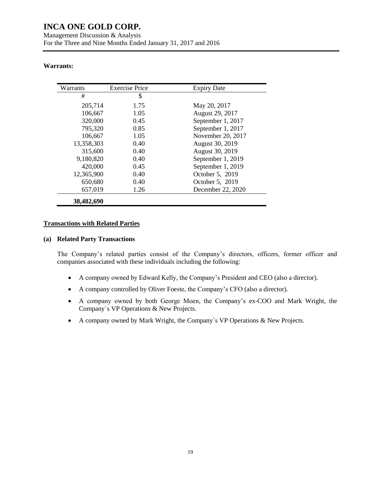### **Warrants:**

| Warrants   | <b>Exercise Price</b> | <b>Expiry Date</b> |
|------------|-----------------------|--------------------|
| #          | \$                    |                    |
| 205,714    | 1.75                  | May 20, 2017       |
| 106,667    | 1.05                  | August 29, 2017    |
| 320,000    | 0.45                  | September 1, 2017  |
| 795,320    | 0.85                  | September 1, 2017  |
| 106,667    | 1.05                  | November 20, 2017  |
| 13,358,303 | 0.40                  | August 30, 2019    |
| 315,600    | 0.40                  | August 30, 2019    |
| 9,180,820  | 0.40                  | September 1, 2019  |
| 420,000    | 0.45                  | September 1, 2019  |
| 12,365,900 | 0.40                  | October 5, 2019    |
| 650,680    | 0.40                  | October 5, 2019    |
| 657,019    | 1.26                  | December 22, 2020  |
| 38,482,690 |                       |                    |

### **Transactions with Related Parties**

#### **(a) Related Party Transactions**

The Company's related parties consist of the Company's directors, officers, former officer and companies associated with these individuals including the following:

- A company owned by Edward Kelly, the Company's President and CEO (also a director).
- A company controlled by Oliver Foeste, the Company's CFO (also a director).
- A company owned by both George Moen, the Company's ex-COO and Mark Wright, the Company`s VP Operations & New Projects.
- A company owned by Mark Wright, the Company`s VP Operations & New Projects.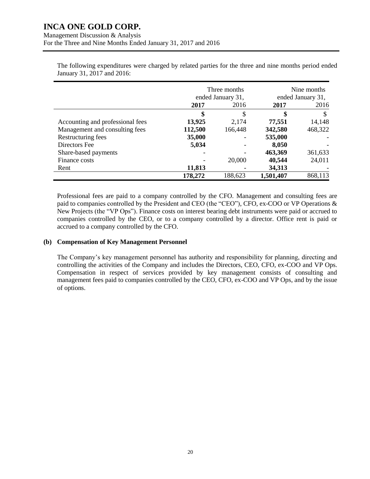Three months ended January 31, Nine months ended January 31, **2017** 2016 **2017** 2016 **\$** \$ **\$** \$ Accounting and professional fees **13,925** 2,174 **77,551** 14,148 Management and consulting fees **112,500** 166,448 **342,580** 468,322 Restructuring fees **35,000** - **535,000** - Directors Fee **5,034** - **8,050** - Share-based payments **and the set of the set of the set of the set of the set of the set of the set of the set of the set of the set of the set of the set of the set of the set of the set of the set of the set of the set o** Finance costs **and the costs** and the costs **and the costs** and the costs **40,544** 24,011 Rent **11,813** - 34,313 **178,272** 188,623 **1,501,407** 868,113

The following expenditures were charged by related parties for the three and nine months period ended January 31, 2017 and 2016:

Professional fees are paid to a company controlled by the CFO. Management and consulting fees are paid to companies controlled by the President and CEO (the "CEO"), CFO, ex-COO or VP Operations & New Projects (the "VP Ops"). Finance costs on interest bearing debt instruments were paid or accrued to companies controlled by the CEO, or to a company controlled by a director. Office rent is paid or accrued to a company controlled by the CFO.

### **(b) Compensation of Key Management Personnel**

The Company's key management personnel has authority and responsibility for planning, directing and controlling the activities of the Company and includes the Directors, CEO, CFO, ex-COO and VP Ops. Compensation in respect of services provided by key management consists of consulting and management fees paid to companies controlled by the CEO, CFO, ex-COO and VP Ops, and by the issue of options.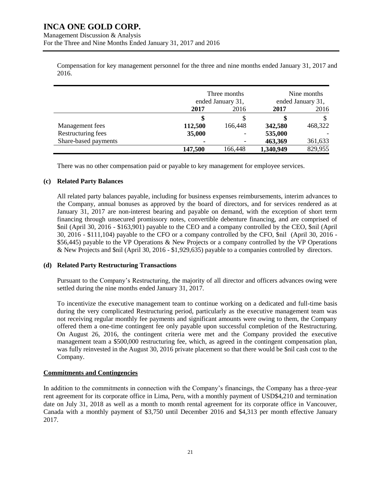Compensation for key management personnel for the three and nine months ended January 31, 2017 and 2016.

|                      | Three months                      |         | Nine months                       |         |
|----------------------|-----------------------------------|---------|-----------------------------------|---------|
|                      | ended January 31,<br>2016<br>2017 |         | ended January 31,<br>2016<br>2017 |         |
|                      |                                   |         |                                   |         |
|                      |                                   |         |                                   |         |
| Management fees      | 112,500                           | 166,448 | 342,580                           | 468,322 |
| Restructuring fees   | 35,000                            | -       | 535,000                           |         |
| Share-based payments | ٠                                 |         | 463,369                           | 361,633 |
|                      | 147,500                           | 166,448 | 1,340,949                         | 829,955 |

There was no other compensation paid or payable to key management for employee services.

### **(c) Related Party Balances**

All related party balances payable, including for business expenses reimbursements, interim advances to the Company, annual bonuses as approved by the board of directors, and for services rendered as at January 31, 2017 are non-interest bearing and payable on demand, with the exception of short term financing through unsecured promissory notes, convertible debenture financing, and are comprised of \$nil (April 30, 2016 - \$163,901) payable to the CEO and a company controlled by the CEO, \$nil (April 30, 2016 - \$111,104) payable to the CFO or a company controlled by the CFO, \$nil (April 30, 2016 - \$56,445) payable to the VP Operations & New Projects or a company controlled by the VP Operations & New Projects and \$nil (April 30, 2016 - \$1,929,635) payable to a companies controlled by directors.

### **(d) Related Party Restructuring Transactions**

Pursuant to the Company's Restructuring, the majority of all director and officers advances owing were settled during the nine months ended January 31, 2017.

To incentivize the executive management team to continue working on a dedicated and full-time basis during the very complicated Restructuring period, particularly as the executive management team was not receiving regular monthly fee payments and significant amounts were owing to them, the Company offered them a one-time contingent fee only payable upon successful completion of the Restructuring. On August 26, 2016, the contingent criteria were met and the Company provided the executive management team a \$500,000 restructuring fee, which, as agreed in the contingent compensation plan, was fully reinvested in the August 30, 2016 private placement so that there would be \$nil cash cost to the Company.

### **Commitments and Contingencies**

In addition to the commitments in connection with the Company's financings, the Company has a three-year rent agreement for its corporate office in Lima, Peru, with a monthly payment of USD\$4,210 and termination date on July 31, 2018 as well as a month to month rental agreement for its corporate office in Vancouver, Canada with a monthly payment of \$3,750 until December 2016 and \$4,313 per month effective January 2017.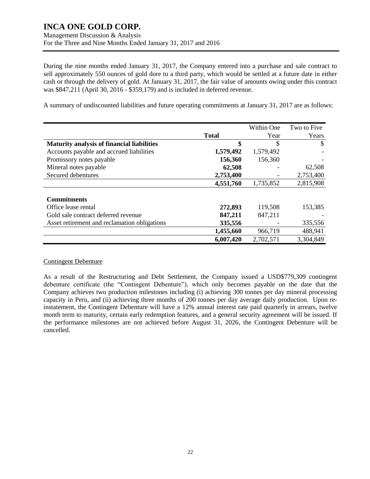Management Discussion & Analysis For the Three and Nine Months Ended January 31, 2017 and 2016

During the nine months ended January 31, 2017, the Company entered into a purchase and sale contract to sell approximately 550 ounces of gold dore to a third party, which would be settled at a future date in either cash or through the delivery of gold. At January 31, 2017, the fair value of amounts owing under this contract was \$847,211 (April 30, 2016 - \$359,179) and is included in deferred revenue.

A summary of undiscounted liabilities and future operating commitments at January 31, 2017 are as follows:

|                                                   |              | Within One | Two to Five |
|---------------------------------------------------|--------------|------------|-------------|
|                                                   | <b>Total</b> | Year       | Years       |
| <b>Maturity analysis of financial liabilities</b> | \$           | \$         | S           |
| Accounts payable and accrued liabilities          | 1,579,492    | 1,579,492  |             |
| Promissory notes payable                          | 156,360      | 156,360    |             |
| Mineral notes payable                             | 62,508       |            | 62,508      |
| Secured debentures                                | 2,753,400    |            | 2,753,400   |
|                                                   | 4,551,760    | 1,735,852  | 2,815,908   |
|                                                   |              |            |             |
| <b>Commitments</b>                                |              |            |             |
| Office lease rental                               | 272,893      | 119,508    | 153,385     |
| Gold sale contract deferred revenue               | 847,211      | 847,211    |             |
| Asset retirement and reclamation obligations      | 335,556      |            | 335,556     |
|                                                   | 1,455,660    | 966,719    | 488,941     |
|                                                   | 6,007,420    | 2,702,571  | 3,304,849   |

### Contingent Debenture

As a result of the Restructuring and Debt Settlement, the Company issued a USD\$779,309 contingent debenture certificate (the "Contingent Debenture"), which only becomes payable on the date that the Company achieves two production milestones including (i) achieving 300 tonnes per day mineral processing capacity in Peru, and (ii) achieving three months of 200 tonnes per day average daily production. Upon reinstatement, the Contingent Debenture will have a 12% annual interest rate paid quarterly in arrears, twelve month term to maturity, certain early redemption features, and a general security agreement will be issued. If the performance milestones are not achieved before August 31, 2026, the Contingent Debenture will be cancelled.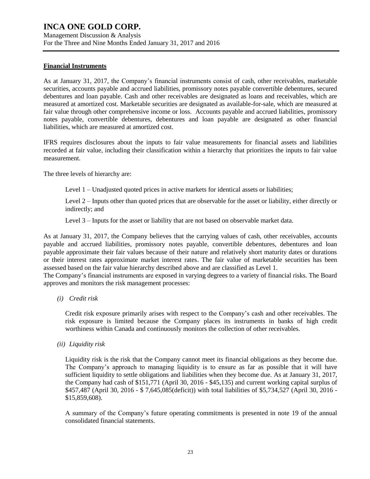Management Discussion & Analysis For the Three and Nine Months Ended January 31, 2017 and 2016

#### **Financial Instruments**

As at January 31, 2017, the Company's financial instruments consist of cash, other receivables, marketable securities, accounts payable and accrued liabilities, promissory notes payable convertible debentures, secured debentures and loan payable. Cash and other receivables are designated as loans and receivables, which are measured at amortized cost. Marketable securities are designated as available-for-sale, which are measured at fair value through other comprehensive income or loss. Accounts payable and accrued liabilities, promissory notes payable, convertible debentures, debentures and loan payable are designated as other financial liabilities, which are measured at amortized cost.

IFRS requires disclosures about the inputs to fair value measurements for financial assets and liabilities recorded at fair value, including their classification within a hierarchy that prioritizes the inputs to fair value measurement.

The three levels of hierarchy are:

Level 1 – Unadjusted quoted prices in active markets for identical assets or liabilities;

Level 2 – Inputs other than quoted prices that are observable for the asset or liability, either directly or indirectly; and

Level 3 – Inputs for the asset or liability that are not based on observable market data.

As at January 31, 2017, the Company believes that the carrying values of cash, other receivables, accounts payable and accrued liabilities, promissory notes payable, convertible debentures, debentures and loan payable approximate their fair values because of their nature and relatively short maturity dates or durations or their interest rates approximate market interest rates. The fair value of marketable securities has been assessed based on the fair value hierarchy described above and are classified as Level 1.

The Company's financial instruments are exposed in varying degrees to a variety of financial risks. The Board approves and monitors the risk management processes:

*(i) Credit risk*

Credit risk exposure primarily arises with respect to the Company's cash and other receivables. The risk exposure is limited because the Company places its instruments in banks of high credit worthiness within Canada and continuously monitors the collection of other receivables.

*(ii) Liquidity risk*

Liquidity risk is the risk that the Company cannot meet its financial obligations as they become due. The Company's approach to managing liquidity is to ensure as far as possible that it will have sufficient liquidity to settle obligations and liabilities when they become due. As at January 31, 2017, the Company had cash of \$151,771 (April 30, 2016 - \$45,135) and current working capital surplus of \$457,487 (April 30, 2016 - \$ 7,645,085(deficit)) with total liabilities of \$5,734,527 (April 30, 2016 - \$15,859,608).

A summary of the Company's future operating commitments is presented in note 19 of the annual consolidated financial statements.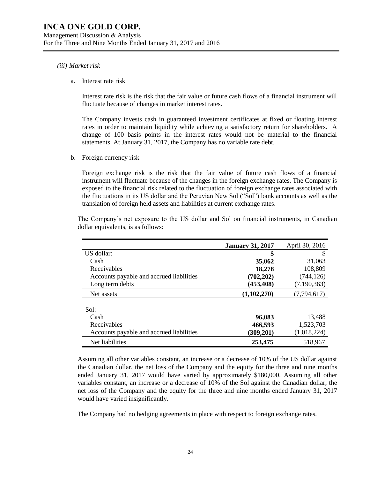#### *(iii) Market risk*

a. Interest rate risk

Interest rate risk is the risk that the fair value or future cash flows of a financial instrument will fluctuate because of changes in market interest rates.

The Company invests cash in guaranteed investment certificates at fixed or floating interest rates in order to maintain liquidity while achieving a satisfactory return for shareholders. A change of 100 basis points in the interest rates would not be material to the financial statements. At January 31, 2017, the Company has no variable rate debt.

b. Foreign currency risk

Foreign exchange risk is the risk that the fair value of future cash flows of a financial instrument will fluctuate because of the changes in the foreign exchange rates. The Company is exposed to the financial risk related to the fluctuation of foreign exchange rates associated with the fluctuations in its US dollar and the Peruvian New Sol ("Sol") bank accounts as well as the translation of foreign held assets and liabilities at current exchange rates.

|                                          | <b>January 31, 2017</b> | April 30, 2016 |
|------------------------------------------|-------------------------|----------------|
| US dollar:                               | \$                      |                |
| Cash                                     | 35,062                  | 31,063         |
| Receivables                              | 18,278                  | 108,809        |
| Accounts payable and accrued liabilities | (702, 202)              | (744, 126)     |
| Long term debts                          | (453, 408)              | (7,190,363)    |
| Net assets                               | (1,102,270)             | (7, 794, 617)  |
| Sol:                                     |                         |                |
| Cash                                     | 96,083                  | 13,488         |
| Receivables                              | 466,593                 | 1,523,703      |
| Accounts payable and accrued liabilities | (309, 201)              | (1,018,224)    |
| Net liabilities                          | 253,475                 | 518,967        |

The Company's net exposure to the US dollar and Sol on financial instruments, in Canadian dollar equivalents, is as follows:

Assuming all other variables constant, an increase or a decrease of 10% of the US dollar against the Canadian dollar, the net loss of the Company and the equity for the three and nine months ended January 31, 2017 would have varied by approximately \$180,000. Assuming all other variables constant, an increase or a decrease of 10% of the Sol against the Canadian dollar, the net loss of the Company and the equity for the three and nine months ended January 31, 2017 would have varied insignificantly.

The Company had no hedging agreements in place with respect to foreign exchange rates.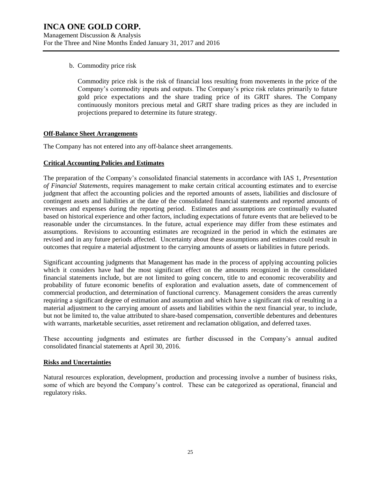b. Commodity price risk

Commodity price risk is the risk of financial loss resulting from movements in the price of the Company's commodity inputs and outputs. The Company's price risk relates primarily to future gold price expectations and the share trading price of its GRIT shares. The Company continuously monitors precious metal and GRIT share trading prices as they are included in projections prepared to determine its future strategy.

### **Off-Balance Sheet Arrangements**

The Company has not entered into any off-balance sheet arrangements.

### **Critical Accounting Policies and Estimates**

The preparation of the Company's consolidated financial statements in accordance with IAS 1, *Presentation of Financial Statements*, requires management to make certain critical accounting estimates and to exercise judgment that affect the accounting policies and the reported amounts of assets, liabilities and disclosure of contingent assets and liabilities at the date of the consolidated financial statements and reported amounts of revenues and expenses during the reporting period. Estimates and assumptions are continually evaluated based on historical experience and other factors, including expectations of future events that are believed to be reasonable under the circumstances. In the future, actual experience may differ from these estimates and assumptions. Revisions to accounting estimates are recognized in the period in which the estimates are revised and in any future periods affected. Uncertainty about these assumptions and estimates could result in outcomes that require a material adjustment to the carrying amounts of assets or liabilities in future periods.

Significant accounting judgments that Management has made in the process of applying accounting policies which it considers have had the most significant effect on the amounts recognized in the consolidated financial statements include, but are not limited to going concern, title to and economic recoverability and probability of future economic benefits of exploration and evaluation assets, date of commencement of commercial production, and determination of functional currency. Management considers the areas currently requiring a significant degree of estimation and assumption and which have a significant risk of resulting in a material adjustment to the carrying amount of assets and liabilities within the next financial year, to include, but not be limited to, the value attributed to share-based compensation, convertible debentures and debentures with warrants, marketable securities, asset retirement and reclamation obligation, and deferred taxes.

These accounting judgments and estimates are further discussed in the Company's annual audited consolidated financial statements at April 30, 2016.

### **Risks and Uncertainties**

Natural resources exploration, development, production and processing involve a number of business risks, some of which are beyond the Company's control. These can be categorized as operational, financial and regulatory risks.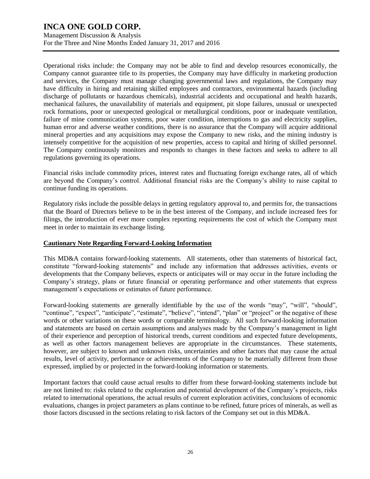Management Discussion & Analysis For the Three and Nine Months Ended January 31, 2017 and 2016

Operational risks include: the Company may not be able to find and develop resources economically, the Company cannot guarantee title to its properties, the Company may have difficulty in marketing production and services, the Company must manage changing governmental laws and regulations, the Company may have difficulty in hiring and retaining skilled employees and contractors, environmental hazards (including discharge of pollutants or hazardous chemicals), industrial accidents and occupational and health hazards, mechanical failures, the unavailability of materials and equipment, pit slope failures, unusual or unexpected rock formations, poor or unexpected geological or metallurgical conditions, poor or inadequate ventilation, failure of mine communication systems, poor water condition, interruptions to gas and electricity supplies, human error and adverse weather conditions, there is no assurance that the Company will acquire additional mineral properties and any acquisitions may expose the Company to new risks, and the mining industry is intensely competitive for the acquisition of new properties, access to capital and hiring of skilled personnel. The Company continuously monitors and responds to changes in these factors and seeks to adhere to all regulations governing its operations.

Financial risks include commodity prices, interest rates and fluctuating foreign exchange rates, all of which are beyond the Company's control. Additional financial risks are the Company's ability to raise capital to continue funding its operations.

Regulatory risks include the possible delays in getting regulatory approval to, and permits for, the transactions that the Board of Directors believe to be in the best interest of the Company, and include increased fees for filings, the introduction of ever more complex reporting requirements the cost of which the Company must meet in order to maintain its exchange listing.

### **Cautionary Note Regarding Forward-Looking Information**

This MD&A contains forward-looking statements. All statements, other than statements of historical fact, constitute "forward-looking statements" and include any information that addresses activities, events or developments that the Company believes, expects or anticipates will or may occur in the future including the Company's strategy, plans or future financial or operating performance and other statements that express management's expectations or estimates of future performance.

Forward-looking statements are generally identifiable by the use of the words "may", "will", "should", "continue", "expect", "anticipate", "estimate", "believe", "intend", "plan" or "project" or the negative of these words or other variations on these words or comparable terminology. All such forward-looking information and statements are based on certain assumptions and analyses made by the Company's management in light of their experience and perception of historical trends, current conditions and expected future developments, as well as other factors management believes are appropriate in the circumstances. These statements, however, are subject to known and unknown risks, uncertainties and other factors that may cause the actual results, level of activity, performance or achievements of the Company to be materially different from those expressed, implied by or projected in the forward-looking information or statements.

Important factors that could cause actual results to differ from these forward-looking statements include but are not limited to: risks related to the exploration and potential development of the Company's projects, risks related to international operations, the actual results of current exploration activities, conclusions of economic evaluations, changes in project parameters as plans continue to be refined, future prices of minerals, as well as those factors discussed in the sections relating to risk factors of the Company set out in this MD&A.